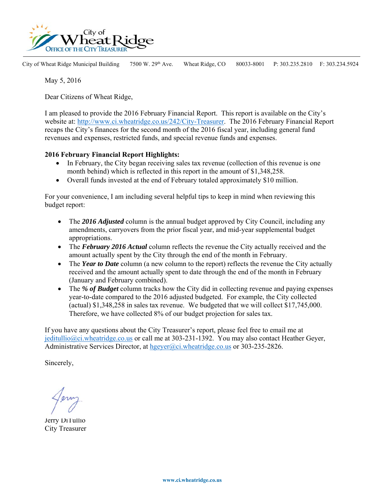

City of Wheat Ridge Municipal Building 7500 W. 29<sup>th</sup> Ave. Wheat Ridge, CO 80033-8001 P: 303.235.2810 F: 303.234.5924

May 5, 2016

Dear Citizens of Wheat Ridge,

I am pleased to provide the 2016 February Financial Report. This report is available on the City's website at: http://www.ci.wheatridge.co.us/242/City-Treasurer. The 2016 February Financial Report recaps the City's finances for the second month of the 2016 fiscal year, including general fund revenues and expenses, restricted funds, and special revenue funds and expenses.

## **2016 February Financial Report Highlights:**

- In February, the City began receiving sales tax revenue (collection of this revenue is one month behind) which is reflected in this report in the amount of \$1,348,258.
- Overall funds invested at the end of February totaled approximately \$10 million.

For your convenience, I am including several helpful tips to keep in mind when reviewing this budget report:

- The 2016 Adjusted column is the annual budget approved by City Council, including any amendments, carryovers from the prior fiscal year, and mid-year supplemental budget appropriations.
- The *February 2016 Actual* column reflects the revenue the City actually received and the amount actually spent by the City through the end of the month in February.
- The *Year to Date* column (a new column to the report) reflects the revenue the City actually received and the amount actually spent to date through the end of the month in February (January and February combined).
- The *% of Budget* column tracks how the City did in collecting revenue and paying expenses year-to-date compared to the 2016 adjusted budgeted. For example, the City collected (actual) \$1,348,258 in sales tax revenue. We budgeted that we will collect \$17,745,000. Therefore, we have collected 8% of our budget projection for sales tax.

If you have any questions about the City Treasurer's report, please feel free to email me at jeditullio@ci.wheatridge.co.us or call me at 303-231-1392. You may also contact Heather Geyer, Administrative Services Director, at hgeyer@ci.wheatridge.co.us or 303-235-2826.

Sincerely,

Jerry DiTullio City Treasurer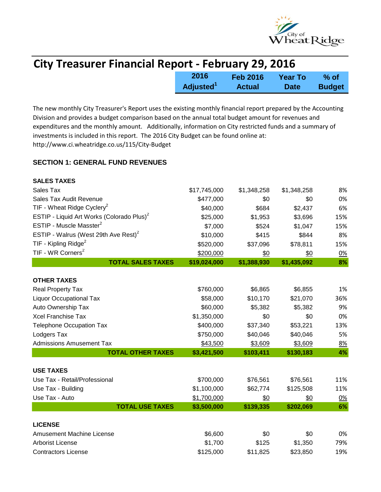

| <b>City Treasurer Financial Report - February 29, 2016</b> |                       |                 |             |               |
|------------------------------------------------------------|-----------------------|-----------------|-------------|---------------|
|                                                            | 2016                  | <b>Feb 2016</b> | Year To     | % of          |
|                                                            | Adjusted <sup>1</sup> | <b>Actual</b>   | <b>Date</b> | <b>Budget</b> |

The new monthly City Treasurer's Report uses the existing monthly financial report prepared by the Accounting Division and provides a budget comparison based on the annual total budget amount for revenues and expenditures and the monthly amount. Additionally, information on City restricted funds and a summary of investments is included in this report. The 2016 City Budget can be found online at: http://www.ci.wheatridge.co.us/115/City-Budget

## **SECTION 1: GENERAL FUND REVENUES**

| <b>SALES TAXES</b>                                    |              |             |             |           |
|-------------------------------------------------------|--------------|-------------|-------------|-----------|
| Sales Tax                                             | \$17,745,000 | \$1,348,258 | \$1,348,258 | 8%        |
| Sales Tax Audit Revenue                               | \$477,000    | \$0         | \$0         | 0%        |
| TIF - Wheat Ridge Cyclery <sup>2</sup>                | \$40,000     | \$684       | \$2,437     | 6%        |
| ESTIP - Liquid Art Works (Colorado Plus) <sup>2</sup> | \$25,000     | \$1,953     | \$3,696     | 15%       |
| ESTIP - Muscle Masster <sup>2</sup>                   | \$7,000      | \$524       | \$1,047     | 15%       |
| ESTIP - Walrus (West 29th Ave Rest) <sup>2</sup>      | \$10,000     | \$415       | \$844       | 8%        |
| TIF - Kipling Ridge <sup>2</sup>                      | \$520,000    | \$37,096    | \$78,811    | 15%       |
| TIF - WR Corners <sup>2</sup>                         | \$200,000    | \$0         | \$0         | 0%        |
| <b>TOTAL SALES TAXES</b>                              | \$19,024,000 | \$1,388,930 | \$1,435,092 | 8%        |
| <b>OTHER TAXES</b>                                    |              |             |             |           |
| Real Property Tax                                     | \$760,000    | \$6,865     | \$6,855     | 1%        |
| <b>Liquor Occupational Tax</b>                        | \$58,000     | \$10,170    | \$21,070    | 36%       |
| Auto Ownership Tax                                    | \$60,000     | \$5,382     | \$5,382     | 9%        |
| <b>Xcel Franchise Tax</b>                             | \$1,350,000  | \$0         | \$0         | 0%        |
| <b>Telephone Occupation Tax</b>                       | \$400,000    | \$37,340    | \$53,221    | 13%       |
| Lodgers Tax                                           | \$750,000    | \$40,046    | \$40,046    | 5%        |
| <b>Admissions Amusement Tax</b>                       | \$43,500     | \$3,609     | \$3,609     | 8%        |
| <b>TOTAL OTHER TAXES</b>                              | \$3,421,500  | \$103,411   | \$130,183   | 4%        |
| <b>USE TAXES</b>                                      |              |             |             |           |
| Use Tax - Retail/Professional                         | \$700,000    | \$76,561    | \$76,561    | 11%       |
| Use Tax - Building                                    | \$1,100,000  | \$62,774    | \$125,508   | 11%       |
| Use Tax - Auto                                        | \$1,700,000  | \$0         | \$0         | <u>0%</u> |
| <b>TOTAL USE TAXES</b>                                | \$3,500,000  | \$139,335   | \$202,069   | 6%        |
|                                                       |              |             |             |           |
| <b>LICENSE</b>                                        |              |             |             |           |
| <b>Amusement Machine License</b>                      | \$6,600      | \$0         | \$0         | 0%        |
| <b>Arborist License</b>                               | \$1,700      | \$125       | \$1,350     | 79%       |
| <b>Contractors License</b>                            | \$125,000    | \$11,825    | \$23,850    | 19%       |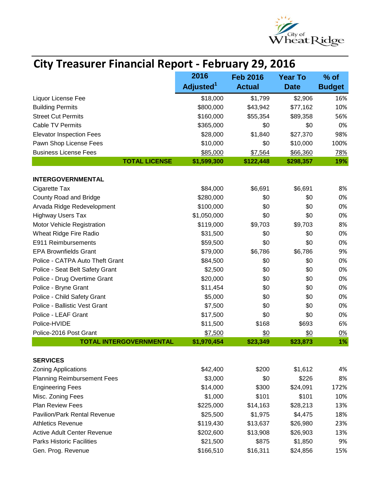

| <b>City Treasurer Financial Report - February 29, 2016</b> |                                           |               |             |                       |
|------------------------------------------------------------|-------------------------------------------|---------------|-------------|-----------------------|
|                                                            | 2016<br><b>Feb 2016</b><br><b>Year To</b> |               |             |                       |
|                                                            | Adjusted <sup>1</sup>                     | <b>Actual</b> | <b>Date</b> | % of<br><b>Budget</b> |
| Liquor License Fee                                         | \$18,000                                  | \$1,799       | \$2,906     | 16%                   |
| <b>Building Permits</b>                                    | \$800,000                                 | \$43,942      | \$77,162    | 10%                   |
| <b>Street Cut Permits</b>                                  | \$160,000                                 | \$55,354      | \$89,358    | 56%                   |
| <b>Cable TV Permits</b>                                    | \$365,000                                 | \$0           | \$0         | 0%                    |
| <b>Elevator Inspection Fees</b>                            | \$28,000                                  | \$1,840       | \$27,370    | 98%                   |
| Pawn Shop License Fees                                     | \$10,000                                  | \$0           | \$10,000    | 100%                  |
| <b>Business License Fees</b>                               | \$85,000                                  | \$7,564       | \$66,360    | 78%                   |
| <b>TOTAL LICENSE</b>                                       | \$1,599,300                               | \$122,448     | \$298,357   | 19%                   |
| <b>INTERGOVERNMENTAL</b>                                   |                                           |               |             |                       |
| Cigarette Tax                                              | \$84,000                                  | \$6,691       | \$6,691     | 8%                    |
| County Road and Bridge                                     | \$280,000                                 | \$0           | \$0         | 0%                    |
| Arvada Ridge Redevelopment                                 | \$100,000                                 | \$0           | \$0         | 0%                    |
| <b>Highway Users Tax</b>                                   | \$1,050,000                               | \$0           | \$0         | 0%                    |
| Motor Vehicle Registration                                 | \$119,000                                 | \$9,703       | \$9,703     | 8%                    |
| Wheat Ridge Fire Radio                                     | \$31,500                                  | \$0           | \$0         | 0%                    |
| E911 Reimbursements                                        | \$59,500                                  | \$0           | \$0         | 0%                    |
| <b>EPA Brownfields Grant</b>                               | \$79,000                                  | \$6,786       | \$6,786     | 9%                    |
| Police - CATPA Auto Theft Grant                            | \$84,500                                  | \$0           | \$0         | 0%                    |
| Police - Seat Belt Safety Grant                            | \$2,500                                   | \$0           | \$0         | 0%                    |
| Police - Drug Overtime Grant                               | \$20,000                                  | \$0           | \$0         | 0%                    |
| Police - Bryne Grant                                       | \$11,454                                  | \$0           | \$0         | 0%                    |
| Police - Child Safety Grant                                | \$5,000                                   | \$0           | \$0         | 0%                    |
| Police - Ballistic Vest Grant                              | \$7,500                                   | \$0           | \$0         | 0%                    |
| Police - LEAF Grant                                        | \$17,500                                  | \$0           | \$0         | 0%                    |
| Police-HVIDE                                               | \$11,500                                  | \$168         | \$693       | 6%                    |
| Police-2016 Post Grant                                     | \$7,500                                   | \$0           | \$0         | 0%                    |
| <b>TOTAL INTERGOVERNMENTAL</b>                             | \$1,970,454                               | \$23,349      | \$23,873    | 1%                    |
|                                                            |                                           |               |             |                       |
| <b>SERVICES</b>                                            |                                           |               |             |                       |
| <b>Zoning Applications</b>                                 | \$42,400                                  | \$200         | \$1,612     | 4%                    |
| <b>Planning Reimbursement Fees</b>                         | \$3,000                                   | \$0           | \$226       | 8%                    |
| <b>Engineering Fees</b>                                    | \$14,000                                  | \$300         | \$24,091    | 172%                  |
| Misc. Zoning Fees                                          | \$1,000                                   | \$101         | \$101       | 10%                   |
| <b>Plan Review Fees</b>                                    | \$225,000                                 | \$14,163      | \$28,213    | 13%                   |
| <b>Pavilion/Park Rental Revenue</b>                        | \$25,500                                  | \$1,975       | \$4,475     | 18%                   |
| <b>Athletics Revenue</b>                                   | \$119,430                                 | \$13,637      | \$26,980    | 23%                   |
| <b>Active Adult Center Revenue</b>                         | \$202,600                                 | \$13,908      | \$26,903    | 13%                   |
| <b>Parks Historic Facilities</b>                           | \$21,500                                  | \$875         | \$1,850     | 9%                    |
| Gen. Prog. Revenue                                         | \$166,510                                 | \$16,311      | \$24,856    | 15%                   |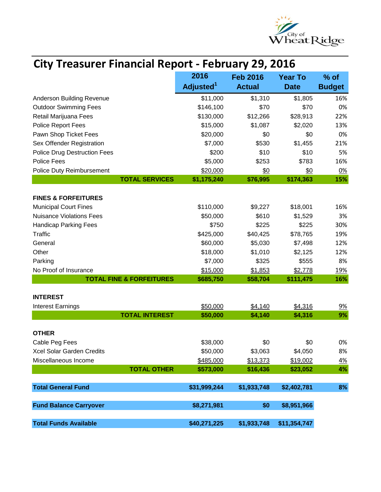

| <b>City Treasurer Financial Report - February 29, 2016</b> |                       |                     |                      |                   |
|------------------------------------------------------------|-----------------------|---------------------|----------------------|-------------------|
|                                                            | 2016                  | <b>Feb 2016</b>     | <b>Year To</b>       | $%$ of            |
|                                                            | Adjusted <sup>1</sup> | <b>Actual</b>       | <b>Date</b>          | <b>Budget</b>     |
| Anderson Building Revenue                                  | \$11,000              | \$1,310             | \$1,805              | 16%               |
| <b>Outdoor Swimming Fees</b>                               | \$146,100             | \$70                | \$70                 | 0%                |
| Retail Marijuana Fees                                      | \$130,000             | \$12,266            | \$28,913             | 22%               |
| <b>Police Report Fees</b>                                  | \$15,000              | \$1,087             | \$2,020              | 13%               |
| Pawn Shop Ticket Fees                                      | \$20,000              | \$0                 | \$0                  | 0%                |
| Sex Offender Registration                                  | \$7,000               | \$530               | \$1,455              | 21%               |
| <b>Police Drug Destruction Fees</b>                        | \$200                 | \$10                | \$10                 | 5%                |
| <b>Police Fees</b>                                         | \$5,000               | \$253               | \$783                | 16%               |
| <b>Police Duty Reimbursement</b>                           | \$20,000              | \$0                 | \$0                  | <u>0%</u>         |
| <b>TOTAL SERVICES</b>                                      | \$1,175,240           | \$76,995            | \$174,363            | 15%               |
|                                                            |                       |                     |                      |                   |
| <b>FINES &amp; FORFEITURES</b>                             |                       |                     |                      |                   |
| <b>Municipal Court Fines</b>                               | \$110,000             | \$9,227             | \$18,001             | 16%               |
| <b>Nuisance Violations Fees</b>                            | \$50,000              | \$610               | \$1,529              | 3%                |
| <b>Handicap Parking Fees</b><br><b>Traffic</b>             | \$750                 | \$225               | \$225                | 30%               |
|                                                            | \$425,000             | \$40,425            | \$78,765             | 19%               |
| General                                                    | \$60,000              | \$5,030             | \$7,498              | 12%               |
| Other                                                      | \$18,000              | \$1,010             | \$2,125              | 12%               |
| Parking<br>No Proof of Insurance                           | \$7,000               | \$325               | \$555                | 8%                |
| <b>TOTAL FINE &amp; FORFEITURES</b>                        | \$15,000<br>\$685,750 | \$1,853<br>\$58,704 | \$2,778<br>\$111,475 | <u>19%</u><br>16% |
|                                                            |                       |                     |                      |                   |
| <b>INTEREST</b>                                            |                       |                     |                      |                   |
| <b>Interest Earnings</b>                                   | \$50,000              | \$4,140             | \$4,316              | <u>9%</u>         |
| <b>TOTAL INTEREST</b>                                      | \$50,000              | \$4,140             | \$4,316              | 9%                |
| <b>OTHER</b>                                               |                       |                     |                      |                   |
| Cable Peg Fees                                             | \$38,000              | \$0                 | \$0                  | 0%                |
| Xcel Solar Garden Credits                                  | \$50,000              | \$3,063             | \$4,050              | 8%                |
| Miscellaneous Income                                       | \$485,000             | \$13,373            | \$19,002             | <u>4%</u>         |
| <b>TOTAL OTHER</b>                                         | \$573,000             | \$16,436            | \$23,052             | 4%                |
|                                                            |                       |                     |                      |                   |
| <b>Total General Fund</b>                                  | \$31,999,244          | \$1,933,748         | \$2,402,781          | 8%                |
| <b>Fund Balance Carryover</b>                              | \$8,271,981           | \$0                 | \$8,951,966          |                   |
| <b>Total Funds Available</b>                               | \$40,271,225          | \$1,933,748         | \$11,354,747         |                   |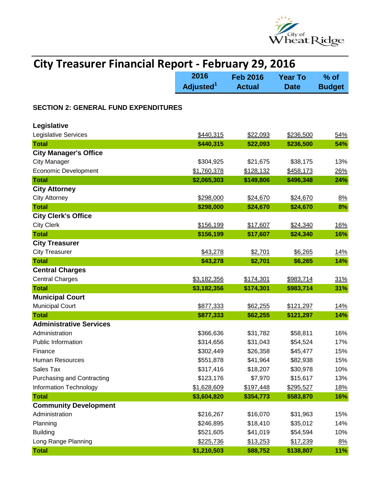

| <b>City Treasurer Financial Report - February 29, 2016</b> |                       |                                   |             |                         |
|------------------------------------------------------------|-----------------------|-----------------------------------|-------------|-------------------------|
|                                                            | 2016                  | <b>Feb 2016</b><br><b>Year To</b> |             |                         |
|                                                            | Adjusted <sup>1</sup> | <b>Actual</b>                     | <b>Date</b> | $%$ of<br><b>Budget</b> |
| <b>SECTION 2: GENERAL FUND EXPENDITURES</b>                |                       |                                   |             |                         |
| Legislative                                                |                       |                                   |             |                         |
| Legislative Services                                       | \$440,315             | \$22,093                          | \$236,500   | 54%                     |
| <b>Total</b>                                               | \$440,315             | \$22,093                          | \$236,500   | 54%                     |
| <b>City Manager's Office</b>                               |                       |                                   |             |                         |
| <b>City Manager</b>                                        | \$304,925             | \$21,675                          | \$38,175    | 13%                     |
| <b>Economic Development</b>                                | \$1,760,378           | \$128,132                         | \$458,173   | 26%                     |
| <b>Total</b>                                               | \$2,065,303           | \$149,806                         | \$496,348   | 24%                     |
| <b>City Attorney</b>                                       |                       |                                   |             |                         |
| <b>City Attorney</b>                                       | \$298,000             | \$24,670                          | \$24,670    | 8%                      |
| <b>Total</b>                                               | \$298,000             | \$24,670                          | \$24,670    | 8%                      |
| <b>City Clerk's Office</b>                                 |                       |                                   |             |                         |
| <b>City Clerk</b>                                          | \$156,199             | \$17,607                          | \$24,340    | <u>16%</u>              |
| <b>Total</b>                                               | \$156,199             | \$17,607                          | \$24,340    | 16%                     |
| <b>City Treasurer</b>                                      |                       |                                   |             |                         |
| <b>City Treasurer</b>                                      | \$43,278              | \$2,701                           | \$6,265     | <u>14%</u>              |
| <b>Total</b>                                               | \$43,278              | \$2,701                           | \$6,265     | 14%                     |
| <b>Central Charges</b>                                     |                       |                                   |             |                         |
| <b>Central Charges</b>                                     | \$3,182,356           | \$174,301                         | \$983,714   | 31%                     |
| <b>Total</b>                                               | \$3,182,356           | \$174,301                         | \$983,714   | 31%                     |
| <b>Municipal Court</b>                                     |                       |                                   |             |                         |
| <b>Municipal Court</b>                                     | \$877,333             | \$62,255                          | \$121,297   | <u>14%</u>              |
| <b>Total</b>                                               | \$877,333             | \$62,255                          | \$121,297   | 14%                     |
| <b>Administrative Services</b>                             |                       |                                   |             |                         |
| Administration                                             | \$366,636             | \$31,782                          | \$58,811    | 16%                     |
| <b>Public Information</b>                                  | \$314,656             | \$31,043                          | \$54,524    | 17%                     |
| Finance                                                    | \$302,449             | \$26,358                          | \$45,477    | 15%                     |
| Human Resources                                            | \$551,878             | \$41,964                          | \$82,938    | 15%                     |
| Sales Tax                                                  | \$317,416             | \$18,207                          | \$30,978    | 10%                     |
| <b>Purchasing and Contracting</b>                          | \$123,176             | \$7,970                           | \$15,617    | 13%                     |
| Information Technology                                     | \$1,628,609           | \$197,448                         | \$295,527   | <u>18%</u>              |
| <b>Total</b>                                               | \$3,604,820           | \$354,773                         | \$583,870   | 16%                     |
| <b>Community Development</b>                               |                       |                                   |             |                         |
| Administration                                             | \$216,267             | \$16,070                          | \$31,963    | 15%                     |
| Planning                                                   | \$246,895             | \$18,410                          | \$35,012    | 14%                     |
| <b>Building</b>                                            | \$521,605             | \$41,019                          | \$54,594    | 10%                     |
| Long Range Planning                                        | \$225,736             | \$13,253                          | \$17,239    | 8%                      |
| <b>Total</b>                                               | \$1,210,503           | \$88,752                          | \$138,807   | 11%                     |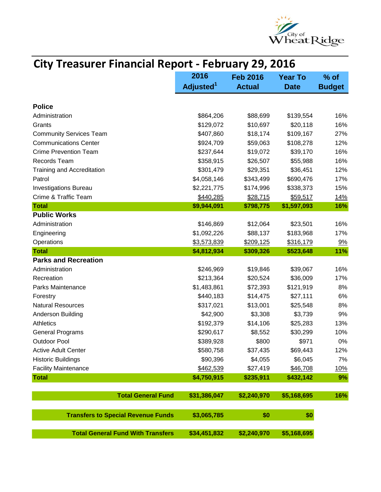

| <b>City Treasurer Financial Report - February 29, 2016</b> |                       |          |                 |                |               |
|------------------------------------------------------------|-----------------------|----------|-----------------|----------------|---------------|
|                                                            | 2016                  |          | <b>Feb 2016</b> | <b>Year To</b> | $%$ of        |
|                                                            | Adjusted <sup>1</sup> |          | <b>Actual</b>   | <b>Date</b>    | <b>Budget</b> |
| <b>Police</b>                                              |                       |          |                 |                |               |
| Administration                                             | \$864,206             |          | \$88,699        | \$139,554      | 16%           |
| Grants                                                     | \$129,072             |          | \$10,697        | \$20,118       | 16%           |
| <b>Community Services Team</b>                             | \$407,860             |          | \$18,174        | \$109,167      | 27%           |
| <b>Communications Center</b>                               | \$924,709             |          | \$59,063        | \$108,278      | 12%           |
| <b>Crime Prevention Team</b>                               | \$237,644             |          | \$19,072        | \$39,170       | 16%           |
| Records Team                                               | \$358,915             |          | \$26,507        | \$55,988       | 16%           |
| Training and Accreditation                                 | \$301,479             |          | \$29,351        | \$36,451       | 12%           |
| Patrol                                                     | \$4,058,146           |          | \$343,499       | \$690,476      | 17%           |
| <b>Investigations Bureau</b>                               | \$2,221,775           |          | \$174,996       | \$338,373      | 15%           |
| Crime & Traffic Team                                       | \$440,285             |          | \$28,715        | \$59,517       | <u>14%</u>    |
| <b>Total</b>                                               | \$9,944,091           |          | \$798,775       | \$1,597,093    | 16%           |
| <b>Public Works</b>                                        |                       |          |                 |                |               |
| Administration                                             | \$146,869             |          | \$12,064        | \$23,501       | 16%           |
| Engineering                                                | \$1,092,226           |          | \$88,137        | \$183,968      | 17%           |
| Operations                                                 | \$3,573,839           |          | \$209,125       | \$316,179      | 9%            |
| <b>Total</b>                                               | \$4,812,934           |          | \$309,326       | \$523,648      | 11%           |
| <b>Parks and Recreation</b>                                |                       |          |                 |                |               |
| Administration                                             | \$246,969             |          | \$19,846        | \$39,067       | 16%           |
| Recreation                                                 | \$213,364             |          | \$20,524        | \$36,009       | 17%           |
| Parks Maintenance                                          | \$1,483,861           |          | \$72,393        | \$121,919      | 8%            |
| Forestry                                                   | \$440,183             |          | \$14,475        | \$27,111       | 6%            |
| <b>Natural Resources</b>                                   | \$317,021             |          | \$13,001        | \$25,548       | 8%            |
| <b>Anderson Building</b>                                   |                       | \$42,900 | \$3,308         | \$3,739        | 9%            |
| <b>Athletics</b>                                           | \$192,379             |          | \$14,106        | \$25,283       | 13%           |
| <b>General Programs</b>                                    | \$290,617             |          | \$8,552         | \$30,299       | 10%           |
| <b>Outdoor Pool</b>                                        | \$389,928             |          | \$800           | \$971          | 0%            |
| <b>Active Adult Center</b>                                 | \$580,758             |          | \$37,435        | \$69,443       | 12%           |
| <b>Historic Buildings</b>                                  |                       | \$90,396 | \$4,055         | \$6,045        | 7%            |
| <b>Facility Maintenance</b>                                | \$462,539             |          | \$27,419        | \$46,708       | <u>10%</u>    |
| <b>Total</b>                                               | \$4,750,915           |          | \$235,911       | \$432,142      | 9%            |
| <b>Total General Fund</b>                                  | \$31,386,047          |          | \$2,240,970     | \$5,168,695    | 16%           |
| <b>Transfers to Special Revenue Funds</b>                  | \$3,065,785           |          | \$0             | \$0            |               |
| <b>Total General Fund With Transfers</b>                   | \$34,451,832          |          | \$2,240,970     | \$5,168,695    |               |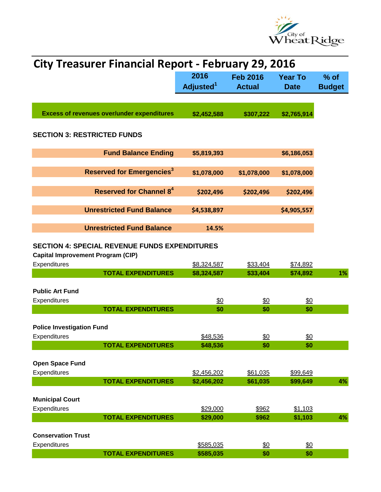

| <b>City Treasurer Financial Report - February 29, 2016</b> |                       |                   |                 |               |
|------------------------------------------------------------|-----------------------|-------------------|-----------------|---------------|
|                                                            | 2016                  | <b>Feb 2016</b>   | <b>Year To</b>  | $%$ of        |
|                                                            | Adjusted <sup>1</sup> | <b>Actual</b>     | <b>Date</b>     | <b>Budget</b> |
|                                                            |                       |                   |                 |               |
|                                                            |                       |                   |                 |               |
| <b>Excess of revenues over/under expenditures</b>          | \$2,452,588           | \$307,222         | \$2,765,914     |               |
|                                                            |                       |                   |                 |               |
| <b>SECTION 3: RESTRICTED FUNDS</b>                         |                       |                   |                 |               |
|                                                            |                       |                   |                 |               |
| <b>Fund Balance Ending</b>                                 | \$5,819,393           |                   | \$6,186,053     |               |
|                                                            |                       |                   |                 |               |
| <b>Reserved for Emergencies<sup>3</sup></b>                | \$1,078,000           | \$1,078,000       | \$1,078,000     |               |
| <b>Reserved for Channel 8<sup>4</sup></b>                  |                       |                   |                 |               |
|                                                            | \$202,496             | \$202,496         | \$202,496       |               |
| <b>Unrestricted Fund Balance</b>                           | \$4,538,897           |                   | \$4,905,557     |               |
|                                                            |                       |                   |                 |               |
| <b>Unrestricted Fund Balance</b>                           | 14.5%                 |                   |                 |               |
|                                                            |                       |                   |                 |               |
| <b>SECTION 4: SPECIAL REVENUE FUNDS EXPENDITURES</b>       |                       |                   |                 |               |
| <b>Capital Improvement Program (CIP)</b>                   |                       |                   |                 |               |
| Expenditures                                               | \$8,324,587           | \$33,404          | \$74,892        |               |
| <b>TOTAL EXPENDITURES</b>                                  | \$8,324,587           | \$33,404          | \$74,892        | 1%            |
|                                                            |                       |                   |                 |               |
| <b>Public Art Fund</b>                                     |                       |                   |                 |               |
| Expenditures                                               | \$0                   | <u>\$0</u>        | <u>\$0</u>      |               |
| <b>TOTAL EXPENDITURES</b>                                  | \$0                   | \$0               | \$0             |               |
|                                                            |                       |                   |                 |               |
| <b>Police Investigation Fund</b>                           |                       |                   |                 |               |
| Expenditures                                               | \$48,536              | \$0               | \$0             |               |
| <b>TOTAL EXPENDITURES</b>                                  | \$48,536              | \$0               | \$0             |               |
|                                                            |                       |                   |                 |               |
| <b>Open Space Fund</b>                                     |                       |                   |                 |               |
| Expenditures                                               | \$2,456,202           | \$61,035          | \$99,649        |               |
| <b>TOTAL EXPENDITURES</b>                                  | \$2,456,202           | \$61,035          | \$99,649        | 4%            |
|                                                            |                       |                   |                 |               |
| <b>Municipal Court</b>                                     |                       |                   |                 |               |
| Expenditures                                               | \$29,000              | \$962             | \$1,103         |               |
| <b>TOTAL EXPENDITURES</b>                                  | \$29,000              | \$962             | \$1,103         | 4%            |
|                                                            |                       |                   |                 |               |
| <b>Conservation Trust</b>                                  |                       |                   |                 |               |
| Expenditures                                               | \$585,035             | $\underline{\$0}$ | $\frac{60}{20}$ |               |
| <b>TOTAL EXPENDITURES</b>                                  | \$585,035             | \$0               | \$0             |               |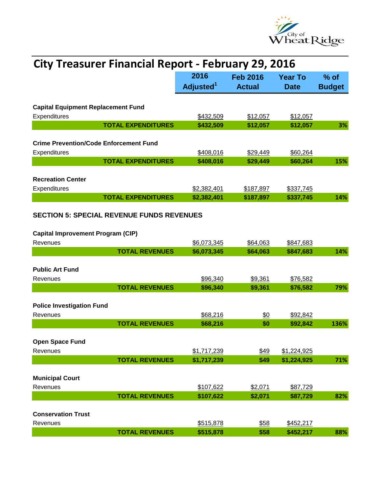

| <b>City Treasurer Financial Report - February 29, 2016</b>                                   |                                           |               |             |               |  |
|----------------------------------------------------------------------------------------------|-------------------------------------------|---------------|-------------|---------------|--|
|                                                                                              | 2016<br><b>Feb 2016</b><br><b>Year To</b> |               |             |               |  |
|                                                                                              | Adjusted <sup>1</sup>                     | <b>Actual</b> | <b>Date</b> | <b>Budget</b> |  |
|                                                                                              |                                           |               |             |               |  |
| <b>Capital Equipment Replacement Fund</b><br>Expenditures                                    | \$432,509                                 | \$12,057      | \$12,057    |               |  |
| <b>TOTAL EXPENDITURES</b>                                                                    | \$432,509                                 | \$12,057      | \$12,057    | 3%            |  |
|                                                                                              |                                           |               |             |               |  |
| <b>Crime Prevention/Code Enforcement Fund</b>                                                |                                           |               |             |               |  |
| Expenditures                                                                                 | \$408,016                                 | \$29,449      | \$60,264    |               |  |
| <b>TOTAL EXPENDITURES</b>                                                                    | \$408,016                                 | \$29,449      | \$60,264    | 15%           |  |
| <b>Recreation Center</b>                                                                     |                                           |               |             |               |  |
| Expenditures                                                                                 | \$2,382,401                               | \$187,897     | \$337,745   |               |  |
| <b>TOTAL EXPENDITURES</b>                                                                    | \$2,382,401                               | \$187,897     | \$337,745   | 14%           |  |
| <b>SECTION 5: SPECIAL REVENUE FUNDS REVENUES</b><br><b>Capital Improvement Program (CIP)</b> |                                           |               |             |               |  |
| Revenues                                                                                     | \$6,073,345                               | \$64,063      | \$847,683   |               |  |
| <b>TOTAL REVENUES</b>                                                                        | \$6,073,345                               | \$64,063      | \$847,683   | 14%           |  |
| <b>Public Art Fund</b>                                                                       |                                           |               |             |               |  |
| Revenues                                                                                     | \$96,340                                  | \$9,361       | \$76,582    |               |  |
| <b>TOTAL REVENUES</b>                                                                        | \$96,340                                  | \$9,361       | \$76,582    | 79%           |  |
| <b>Police Investigation Fund</b>                                                             |                                           |               |             |               |  |
| Revenues                                                                                     | \$68,216                                  | \$0           | \$92,842    |               |  |
| <b>TOTAL REVENUES</b>                                                                        | \$68,216                                  | \$0           | \$92,842    | 136%          |  |
| <b>Open Space Fund</b><br>Revenues                                                           | \$1,717,239                               | \$49          | \$1,224,925 |               |  |
| <b>TOTAL REVENUES</b>                                                                        | \$1,717,239                               | \$49          | \$1,224,925 | 71%           |  |
|                                                                                              |                                           |               |             |               |  |
| <b>Municipal Court</b>                                                                       |                                           |               |             |               |  |
| Revenues                                                                                     | \$107,622                                 | \$2,071       | \$87,729    |               |  |
| <b>TOTAL REVENUES</b>                                                                        | \$107,622                                 | \$2,071       | \$87,729    | 82%           |  |
| <b>Conservation Trust</b>                                                                    |                                           |               |             |               |  |
| Revenues                                                                                     | \$515,878                                 | \$58          | \$452,217   |               |  |
| <b>TOTAL REVENUES</b>                                                                        | \$515,878                                 | \$58          | \$452,217   | 88%           |  |